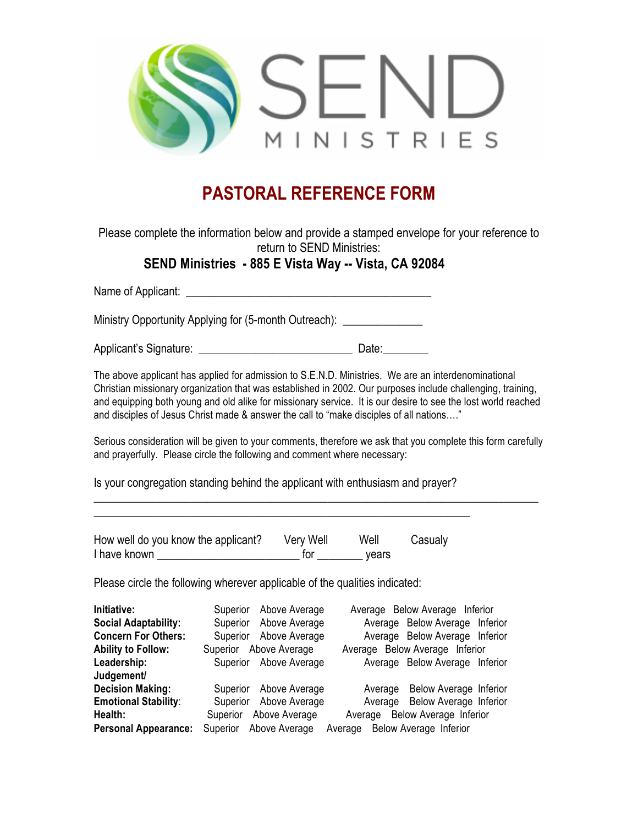

## **PASTORAL REFERENCE FORM**

Please complete the information below and provide a stamped envelope for your reference to return to SEND Ministries:

## **SEND Ministries - 885 E Vista Way -- Vista, CA 92084**

Name of Applicant: \_\_\_\_\_\_\_\_\_\_\_\_\_\_\_\_\_\_\_\_\_\_\_\_\_\_\_\_\_\_\_\_\_\_\_\_\_\_\_\_\_\_\_

Ministry Opportunity Applying for (5-month Outreach): \_\_\_\_\_\_\_\_\_\_\_\_\_\_\_\_\_\_\_\_\_\_\_\_\_\_

Applicant's Signature: \_\_\_\_\_\_\_\_\_\_\_\_\_\_\_\_\_\_\_\_\_\_\_\_\_\_\_ Date:\_\_\_\_\_\_\_\_

The above applicant has applied for admission to S.E.N.D. Ministries. We are an interdenominational Christian missionary organization that was established in 2002. Our purposes include challenging, training, and equipping both young and old alike for missionary service. It is our desire to see the lost world reached and disciples of Jesus Christ made & answer the call to "make disciples of all nations…."

Serious consideration will be given to your comments, therefore we ask that you complete this form carefully and prayerfully. Please circle the following and comment where necessary:

 $\_$  , and the set of the set of the set of the set of the set of the set of the set of the set of the set of the set of the set of the set of the set of the set of the set of the set of the set of the set of the set of th

Is your congregation standing behind the applicant with enthusiasm and prayer?

| How well do you know the applicant? | Very Well | Well  | Casualy |
|-------------------------------------|-----------|-------|---------|
| I have known                        | tor       | vears |         |

\_\_\_\_\_\_\_\_\_\_\_\_\_\_\_\_\_\_\_\_\_\_\_\_\_\_\_\_\_\_\_\_\_\_\_\_\_\_\_\_\_\_\_\_\_\_\_\_\_\_\_\_\_\_\_\_\_\_\_\_\_\_\_\_\_\_

Please circle the following wherever applicable of the qualities indicated:

| Initiative:                 | Above Average<br>Superior            | Average Below Average Inferior           |
|-----------------------------|--------------------------------------|------------------------------------------|
| <b>Social Adaptability:</b> | Superior Above Average               | Average Below Average Inferior           |
| <b>Concern For Others:</b>  | Superior Above Average               | Average Below Average Inferior           |
| <b>Ability to Follow:</b>   | Superior Above Average               | Average Below Average Inferior           |
| Leadership:                 | Superior Above Average               | Average Below Average Inferior           |
| Judgement/                  |                                      |                                          |
| <b>Decision Making:</b>     | Above Average<br>Superior            | <b>Below Average Inferior</b><br>Average |
| <b>Emotional Stability:</b> | Superior Above Average               | Average Below Average Inferior           |
| Health:                     | Above Average<br>Superior            | Average Below Average Inferior           |
| <b>Personal Appearance:</b> | Above Average<br>Superior<br>Average | Below Average Inferior                   |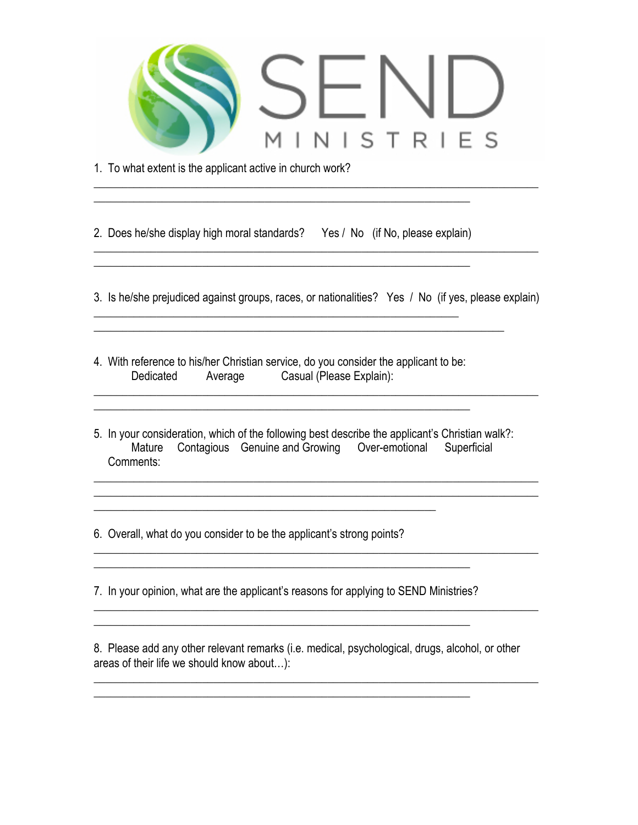

1. To what extent is the applicant active in church work?

\_\_\_\_\_\_\_\_\_\_\_\_\_\_\_\_\_\_\_\_\_\_\_\_\_\_\_\_\_\_\_\_\_\_\_\_\_\_\_\_\_\_\_\_\_\_\_\_\_\_\_\_\_\_\_\_\_\_\_\_\_\_\_\_\_\_\_\_\_\_\_\_\_\_\_\_\_\_

2. Does he/she display high moral standards? Yes / No (if No, please explain)

\_\_\_\_\_\_\_\_\_\_\_\_\_\_\_\_\_\_\_\_\_\_\_\_\_\_\_\_\_\_\_\_\_\_\_\_\_\_\_\_\_\_\_\_\_\_\_\_\_\_\_\_\_\_\_\_\_\_\_\_\_\_\_\_\_\_

 $\frac{1}{2}$  ,  $\frac{1}{2}$  ,  $\frac{1}{2}$  ,  $\frac{1}{2}$  ,  $\frac{1}{2}$  ,  $\frac{1}{2}$  ,  $\frac{1}{2}$  ,  $\frac{1}{2}$  ,  $\frac{1}{2}$  ,  $\frac{1}{2}$  ,  $\frac{1}{2}$  ,  $\frac{1}{2}$  ,  $\frac{1}{2}$  ,  $\frac{1}{2}$  ,  $\frac{1}{2}$  ,  $\frac{1}{2}$  ,  $\frac{1}{2}$  ,  $\frac{1}{2}$  ,  $\frac{1$  $\_$  , and the set of the set of the set of the set of the set of the set of the set of the set of the set of the set of the set of the set of the set of the set of the set of the set of the set of the set of the set of th

3. Is he/she prejudiced against groups, races, or nationalities? Yes / No (if yes, please explain)

 $\_$  , and the set of the set of the set of the set of the set of the set of the set of the set of the set of the set of the set of the set of the set of the set of the set of the set of the set of the set of the set of th  $\_$  , and the set of the set of the set of the set of the set of the set of the set of the set of the set of the set of the set of the set of the set of the set of the set of the set of the set of the set of the set of th

\_\_\_\_\_\_\_\_\_\_\_\_\_\_\_\_\_\_\_\_\_\_\_\_\_\_\_\_\_\_\_\_\_\_\_\_\_\_\_\_\_\_\_\_\_\_\_\_\_\_\_\_\_\_\_\_\_\_\_\_\_\_\_\_\_\_\_\_\_\_\_\_\_\_\_\_\_\_

\_\_\_\_\_\_\_\_\_\_\_\_\_\_\_\_\_\_\_\_\_\_\_\_\_\_\_\_\_\_\_\_\_\_\_\_\_\_\_\_\_\_\_\_\_\_\_\_\_\_\_\_\_\_\_\_\_\_\_\_\_\_\_\_\_\_\_\_\_\_\_\_\_\_\_\_\_\_

 $\mathcal{L}_\text{max} = \mathcal{L}_\text{max} = \mathcal{L}_\text{max} = \mathcal{L}_\text{max} = \mathcal{L}_\text{max} = \mathcal{L}_\text{max} = \mathcal{L}_\text{max} = \mathcal{L}_\text{max} = \mathcal{L}_\text{max} = \mathcal{L}_\text{max} = \mathcal{L}_\text{max} = \mathcal{L}_\text{max} = \mathcal{L}_\text{max} = \mathcal{L}_\text{max} = \mathcal{L}_\text{max} = \mathcal{L}_\text{max} = \mathcal{L}_\text{max} = \mathcal{L}_\text{max} = \mathcal{$ 

4. With reference to his/her Christian service, do you consider the applicant to be: Dedicated Average Casual (Please Explain):

5. In your consideration, which of the following best describe the applicant's Christian walk?: Mature Contagious Genuine and Growing Over-emotional Superficial Comments:

6. Overall, what do you consider to be the applicant's strong points?

7. In your opinion, what are the applicant's reasons for applying to SEND Ministries?

\_\_\_\_\_\_\_\_\_\_\_\_\_\_\_\_\_\_\_\_\_\_\_\_\_\_\_\_\_\_\_\_\_\_\_\_\_\_\_\_\_\_\_\_\_\_\_\_\_\_\_\_\_\_\_\_\_\_\_\_\_\_\_\_\_\_

\_\_\_\_\_\_\_\_\_\_\_\_\_\_\_\_\_\_\_\_\_\_\_\_\_\_\_\_\_\_\_\_\_\_\_\_\_\_\_\_\_\_\_\_\_\_\_\_\_\_\_\_\_\_\_\_\_\_\_\_\_\_\_\_\_\_\_\_\_\_\_\_\_\_\_\_\_\_  $\frac{1}{2}$  ,  $\frac{1}{2}$  ,  $\frac{1}{2}$  ,  $\frac{1}{2}$  ,  $\frac{1}{2}$  ,  $\frac{1}{2}$  ,  $\frac{1}{2}$  ,  $\frac{1}{2}$  ,  $\frac{1}{2}$  ,  $\frac{1}{2}$  ,  $\frac{1}{2}$  ,  $\frac{1}{2}$  ,  $\frac{1}{2}$  ,  $\frac{1}{2}$  ,  $\frac{1}{2}$  ,  $\frac{1}{2}$  ,  $\frac{1}{2}$  ,  $\frac{1}{2}$  ,  $\frac{1$ 

8. Please add any other relevant remarks (i.e. medical, psychological, drugs, alcohol, or other areas of their life we should know about…):

 $\_$  , and the set of the set of the set of the set of the set of the set of the set of the set of the set of the set of the set of the set of the set of the set of the set of the set of the set of the set of the set of th

\_\_\_\_\_\_\_\_\_\_\_\_\_\_\_\_\_\_\_\_\_\_\_\_\_\_\_\_\_\_\_\_\_\_\_\_\_\_\_\_\_\_\_\_\_\_\_\_\_\_\_\_\_\_\_\_\_\_\_\_\_\_\_\_\_\_\_\_\_\_\_\_\_\_\_\_\_\_